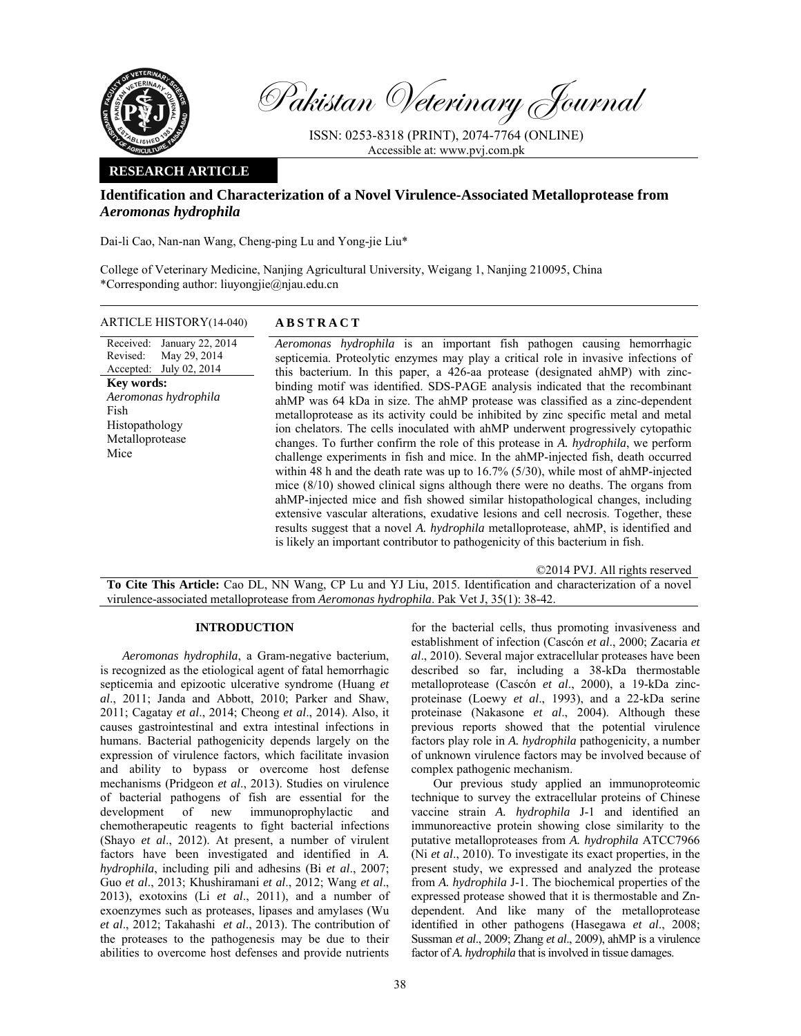

Pakistan Veterinary Journal

ISSN: 0253-8318 (PRINT), 2074-7764 (ONLINE) Accessible at: www.pvj.com.pk

## **RESEARCH ARTICLE**

# **Identification and Characterization of a Novel Virulence-Associated Metalloprotease from**  *Aeromonas hydrophila*

Dai-li Cao, Nan-nan Wang, Cheng-ping Lu and Yong-jie Liu\*

College of Veterinary Medicine, Nanjing Agricultural University, Weigang 1, Nanjing 210095, China \*Corresponding author: liuyongjie@njau.edu.cn

# ARTICLE HISTORY(14-040) **ABSTRACT**

Received: Revised: Accepted: January 22, 2014 May 29, 2014 July 02, 2014 **Key words:**  *Aeromonas hydrophila*  Fish Histopathology Metalloprotease Mice

*Aeromonas hydrophila* is an important fish pathogen causing hemorrhagic septicemia. Proteolytic enzymes may play a critical role in invasive infections of this bacterium. In this paper, a 426-aa protease (designated ahMP) with zincbinding motif was identified. SDS-PAGE analysis indicated that the recombinant ahMP was 64 kDa in size. The ahMP protease was classified as a zinc-dependent metalloprotease as its activity could be inhibited by zinc specific metal and metal ion chelators. The cells inoculated with ahMP underwent progressively cytopathic changes. To further confirm the role of this protease in *A. hydrophila*, we perform challenge experiments in fish and mice. In the ahMP-injected fish, death occurred within 48 h and the death rate was up to 16.7% (5/30), while most of ahMP-injected mice (8/10) showed clinical signs although there were no deaths. The organs from ahMP-injected mice and fish showed similar histopathological changes, including extensive vascular alterations, exudative lesions and cell necrosis. Together, these results suggest that a novel *A. hydrophila* metalloprotease, ahMP, is identified and is likely an important contributor to pathogenicity of this bacterium in fish.

©2014 PVJ. All rights reserved

**To Cite This Article:** Cao DL, NN Wang, CP Lu and YJ Liu, 2015. Identification and characterization of a novel virulence-associated metalloprotease from *Aeromonas hydrophila*. Pak Vet J, 35(1): 38-42.

### **INTRODUCTION**

*Aeromonas hydrophila*, a Gram-negative bacterium, is recognized as the etiological agent of fatal hemorrhagic septicemia and epizootic ulcerative syndrome (Huang *et al*., 2011; Janda and Abbott, 2010; Parker and Shaw, 2011; Cagatay *et al*., 2014; Cheong *et al*., 2014). Also, it causes gastrointestinal and extra intestinal infections in humans. Bacterial pathogenicity depends largely on the expression of virulence factors, which facilitate invasion and ability to bypass or overcome host defense mechanisms (Pridgeon *et al*., 2013). Studies on virulence of bacterial pathogens of fish are essential for the development of new immunoprophylactic and chemotherapeutic reagents to fight bacterial infections (Shayo *et al*., 2012). At present, a number of virulent factors have been investigated and identified in *A. hydrophila*, including pili and adhesins (Bi *et al*., 2007; Guo *et al*., 2013; Khushiramani *et al*., 2012; Wang *et al*., 2013), exotoxins (Li *et al*., 2011), and a number of exoenzymes such as proteases, lipases and amylases (Wu *et al*., 2012; Takahashi *et al*., 2013). The contribution of the proteases to the pathogenesis may be due to their abilities to overcome host defenses and provide nutrients

for the bacterial cells, thus promoting invasiveness and establishment of infection (Cascón *et al*., 2000; Zacaria *et al*., 2010). Several major extracellular proteases have been described so far, including a 38-kDa thermostable metalloprotease (Cascón *et al*., 2000), a 19-kDa zincproteinase (Loewy *et al*., 1993), and a 22-kDa serine proteinase (Nakasone *et al*., 2004). Although these previous reports showed that the potential virulence factors play role in *A. hydrophila* pathogenicity, a number of unknown virulence factors may be involved because of complex pathogenic mechanism.

Our previous study applied an immunoproteomic technique to survey the extracellular proteins of Chinese vaccine strain *A. hydrophila* J-1 and identified an immunoreactive protein showing close similarity to the putative metalloproteases from *A. hydrophila* ATCC7966 (Ni *et al*., 2010). To investigate its exact properties, in the present study, we expressed and analyzed the protease from *A. hydrophila* J-1. The biochemical properties of the expressed protease showed that it is thermostable and Zndependent. And like many of the metalloprotease identified in other pathogens (Hasegawa *et al*., 2008; Sussman *et al*., 2009; Zhang *et al*., 2009), ahMP is a virulence factor of *A. hydrophila* that is involved in tissue damages.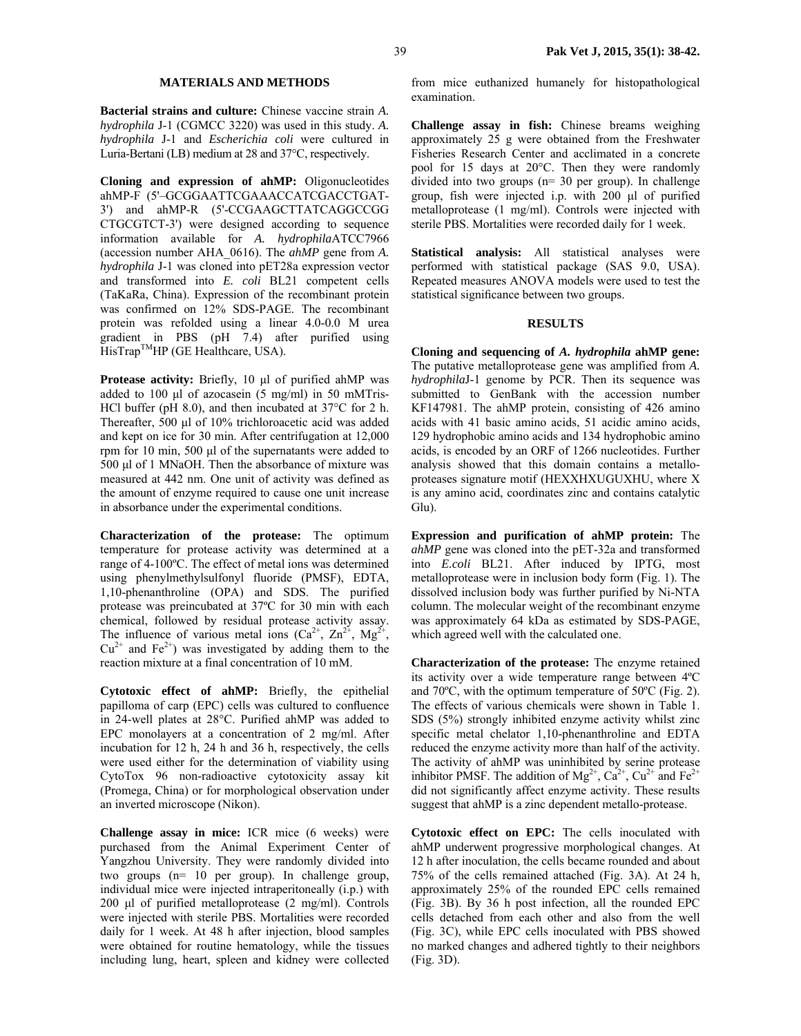### **MATERIALS AND METHODS**

**Bacterial strains and culture:** Chinese vaccine strain *A. hydrophila* J-1 (CGMCC 3220) was used in this study. *A. hydrophila* J-1 and *Escherichia coli* were cultured in Luria-Bertani (LB) medium at 28 and 37°C, respectively.

**Cloning and expression of ahMP:** Oligonucleotides ahMP-F (5'–GCGGAATTCGAAACCATCGACCTGAT-3') and ahMP-R (5'-CCGAAGCTTATCAGGCCGG CTGCGTCT-3') were designed according to sequence information available for *A. hydrophila*ATCC7966 (accession number AHA\_0616). The *ahMP* gene from *A. hydrophila* J-1 was cloned into pET28a expression vector and transformed into *E. coli* BL21 competent cells (TaKaRa, China). Expression of the recombinant protein was confirmed on 12% SDS-PAGE. The recombinant protein was refolded using a linear 4.0-0.0 M urea gradient in PBS (pH 7.4) after purified using  $HisTrap^{TM}HP$  (GE Healthcare, USA).

**Protease activity:** Briefly, 10 µl of purified ahMP was added to 100  $\mu$ l of azocasein (5 mg/ml) in 50 mMTris-HCl buffer (pH 8.0), and then incubated at 37°C for 2 h. Thereafter, 500 µl of 10% trichloroacetic acid was added and kept on ice for 30 min. After centrifugation at 12,000 rpm for 10 min, 500 µl of the supernatants were added to 500 µl of 1 MNaOH. Then the absorbance of mixture was measured at 442 nm. One unit of activity was defined as the amount of enzyme required to cause one unit increase in absorbance under the experimental conditions.

**Characterization of the protease:** The optimum temperature for protease activity was determined at a range of 4-100ºC. The effect of metal ions was determined using phenylmethylsulfonyl fluoride (PMSF), EDTA, 1,10-phenanthroline (OPA) and SDS. The purified protease was preincubated at 37ºC for 30 min with each chemical, followed by residual protease activity assay. The influence of various metal ions  $(Ca^{2+}, Zn^{2+}, Mg^{2+},$  $Cu^{2+}$  and Fe<sup>2+</sup>) was investigated by adding them to the reaction mixture at a final concentration of 10 mM.

**Cytotoxic effect of ahMP:** Briefly, the epithelial papilloma of carp (EPC) cells was cultured to confluence in 24-well plates at 28°C. Purified ahMP was added to EPC monolayers at a concentration of 2 mg/ml. After incubation for 12 h, 24 h and 36 h, respectively, the cells were used either for the determination of viability using CytoTox 96 non-radioactive cytotoxicity assay kit (Promega, China) or for morphological observation under an inverted microscope (Nikon).

**Challenge assay in mice:** ICR mice (6 weeks) were purchased from the Animal Experiment Center of Yangzhou University. They were randomly divided into two groups (n= 10 per group). In challenge group, individual mice were injected intraperitoneally (i.p.) with 200 µl of purified metalloprotease (2 mg/ml). Controls were injected with sterile PBS. Mortalities were recorded daily for 1 week. At 48 h after injection, blood samples were obtained for routine hematology, while the tissues including lung, heart, spleen and kidney were collected from mice euthanized humanely for histopathological examination.

**Challenge assay in fish:** Chinese breams weighing approximately 25 g were obtained from the Freshwater Fisheries Research Center and acclimated in a concrete pool for 15 days at 20°C. Then they were randomly divided into two groups (n= 30 per group). In challenge group, fish were injected i.p. with 200 µl of purified metalloprotease (1 mg/ml). Controls were injected with sterile PBS. Mortalities were recorded daily for 1 week.

**Statistical analysis:** All statistical analyses were performed with statistical package (SAS 9.0, USA). Repeated measures ANOVA models were used to test the statistical significance between two groups.

### **RESULTS**

**Cloning and sequencing of** *A. hydrophila* **ahMP gene:**  The putative metalloprotease gene was amplified from *A. hydrophila*J-1 genome by PCR. Then its sequence was submitted to GenBank with the accession number KF147981. The ahMP protein, consisting of 426 amino acids with 41 basic amino acids, 51 acidic amino acids, 129 hydrophobic amino acids and 134 hydrophobic amino acids, is encoded by an ORF of 1266 nucleotides. Further analysis showed that this domain contains a metalloproteases signature motif (HEXXHXUGUXHU, where X is any amino acid, coordinates zinc and contains catalytic Glu).

**Expression and purification of ahMP protein:** The *ahMP* gene was cloned into the pET-32a and transformed into *E.coli* BL21. After induced by IPTG, most metalloprotease were in inclusion body form (Fig. 1). The dissolved inclusion body was further purified by Ni-NTA column. The molecular weight of the recombinant enzyme was approximately 64 kDa as estimated by SDS-PAGE, which agreed well with the calculated one.

**Characterization of the protease:** The enzyme retained its activity over a wide temperature range between 4ºC and 70ºC, with the optimum temperature of 50ºC (Fig. 2). The effects of various chemicals were shown in Table 1. SDS (5%) strongly inhibited enzyme activity whilst zinc specific metal chelator 1,10-phenanthroline and EDTA reduced the enzyme activity more than half of the activity. The activity of ahMP was uninhibited by serine protease inhibitor PMSF. The addition of  $Mg^{2+}$ ,  $Ca^{2+}$ ,  $Cu^{2+}$  and  $Fe^{2+}$ did not significantly affect enzyme activity. These results suggest that ahMP is a zinc dependent metallo-protease.

**Cytotoxic effect on EPC:** The cells inoculated with ahMP underwent progressive morphological changes. At 12 h after inoculation, the cells became rounded and about 75% of the cells remained attached (Fig. 3A). At 24 h, approximately 25% of the rounded EPC cells remained (Fig. 3B). By 36 h post infection, all the rounded EPC cells detached from each other and also from the well (Fig. 3C), while EPC cells inoculated with PBS showed no marked changes and adhered tightly to their neighbors (Fig. 3D).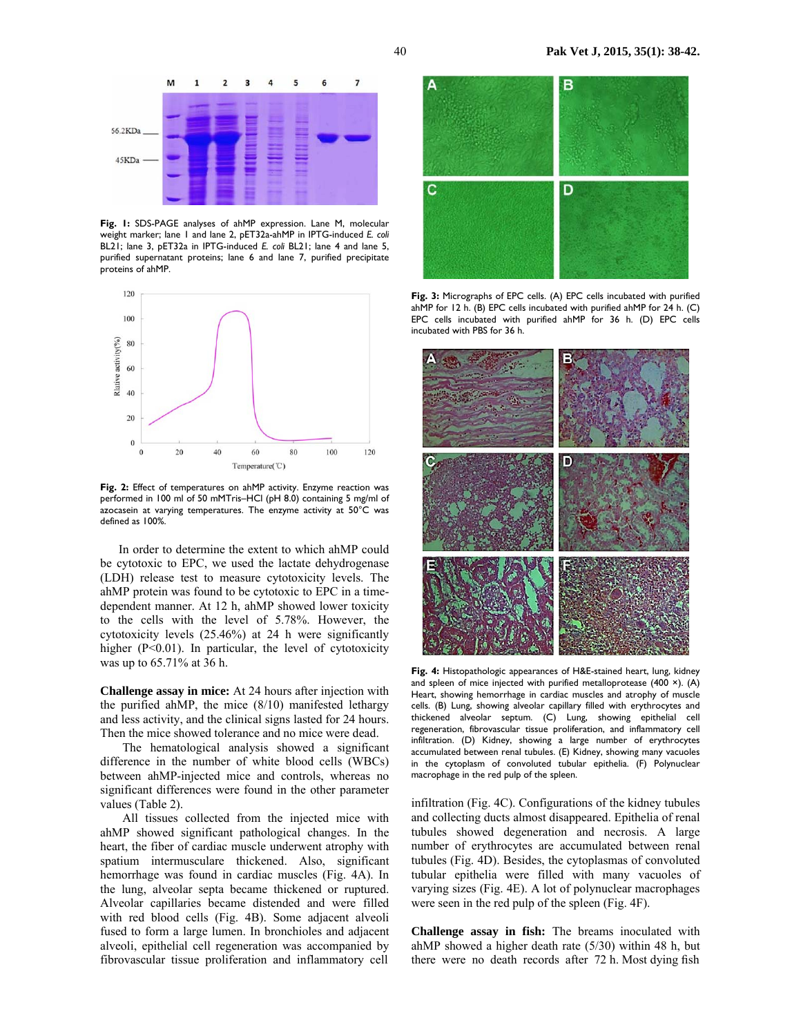

**Fig. 1:** SDS-PAGE analyses of ahMP expression. Lane M, molecular weight marker; lane 1 and lane 2, pET32a-ahMP in IPTG-induced *E. coli* BL21; lane 3, pET32a in IPTG-induced *E. coli* BL21; lane 4 and lane 5, purified supernatant proteins; lane 6 and lane 7, purified precipitate proteins of ahMP.



**Fig. 2:** Effect of temperatures on ahMP activity. Enzyme reaction was performed in 100 ml of 50 mMTris–HCl (pH 8.0) containing 5 mg/ml of azocasein at varying temperatures. The enzyme activity at 50°C was defined as 100%.

In order to determine the extent to which ahMP could be cytotoxic to EPC, we used the lactate dehydrogenase (LDH) release test to measure cytotoxicity levels. The ahMP protein was found to be cytotoxic to EPC in a timedependent manner. At 12 h, ahMP showed lower toxicity to the cells with the level of 5.78%. However, the cytotoxicity levels (25.46%) at 24 h were significantly higher (P<0.01). In particular, the level of cytotoxicity was up to 65.71% at 36 h.

**Challenge assay in mice:** At 24 hours after injection with the purified ahMP, the mice (8/10) manifested lethargy and less activity, and the clinical signs lasted for 24 hours. Then the mice showed tolerance and no mice were dead.

The hematological analysis showed a significant difference in the number of white blood cells (WBCs) between ahMP-injected mice and controls, whereas no significant differences were found in the other parameter values (Table 2).

All tissues collected from the injected mice with ahMP showed significant pathological changes. In the heart, the fiber of cardiac muscle underwent atrophy with spatium intermusculare thickened. Also, significant hemorrhage was found in cardiac muscles (Fig. 4A). In the lung, alveolar septa became thickened or ruptured. Alveolar capillaries became distended and were filled with red blood cells (Fig. 4B). Some adjacent alveoli fused to form a large lumen. In bronchioles and adjacent alveoli, epithelial cell regeneration was accompanied by fibrovascular tissue proliferation and inflammatory cell



**Fig. 3:** Micrographs of EPC cells. (A) EPC cells incubated with purified ahMP for 12 h. (B) EPC cells incubated with purified ahMP for 24 h. (C) EPC cells incubated with purified ahMP for 36 h. (D) EPC cells incubated with PBS for 36 h.



**Fig. 4:** Histopathologic appearances of H&E-stained heart, lung, kidney and spleen of mice injected with purified metalloprotease  $(400 x)$ . (A) Heart, showing hemorrhage in cardiac muscles and atrophy of muscle cells. (B) Lung, showing alveolar capillary filled with erythrocytes and thickened alveolar septum. (C) Lung, showing epithelial cell regeneration, fibrovascular tissue proliferation, and inflammatory cell infiltration. (D) Kidney, showing a large number of erythrocytes accumulated between renal tubules. (E) Kidney, showing many vacuoles in the cytoplasm of convoluted tubular epithelia. (F) Polynuclear macrophage in the red pulp of the spleen.

infiltration (Fig. 4C). Configurations of the kidney tubules and collecting ducts almost disappeared. Epithelia of renal tubules showed degeneration and necrosis. A large number of erythrocytes are accumulated between renal tubules (Fig. 4D). Besides, the cytoplasmas of convoluted tubular epithelia were filled with many vacuoles of varying sizes (Fig. 4E). A lot of polynuclear macrophages were seen in the red pulp of the spleen (Fig. 4F).

**Challenge assay in fish:** The breams inoculated with ahMP showed a higher death rate (5/30) within 48 h, but there were no death records after 72 h. Most dying fish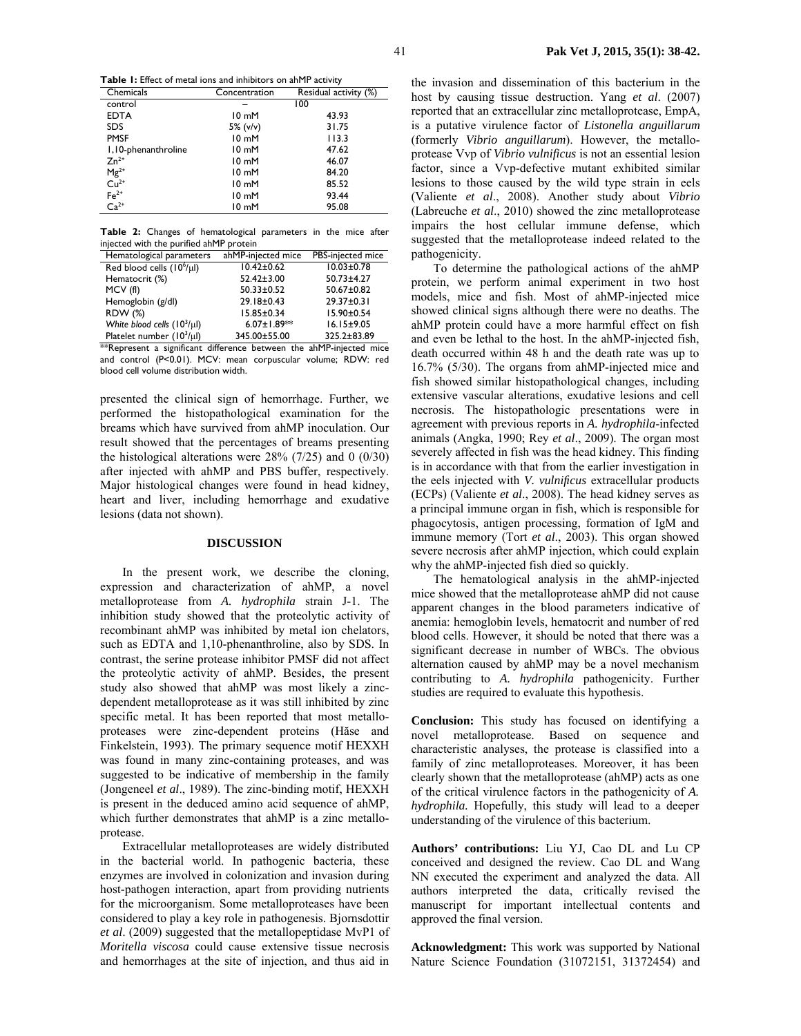**Table 1:** Effect of metal ions and inhibitors on ahMP activity

| Chemicals                                                               | Concentration   | Residual activity (%) |  |
|-------------------------------------------------------------------------|-----------------|-----------------------|--|
| control                                                                 |                 | 100                   |  |
| <b>EDTA</b>                                                             | $10 \text{ mM}$ | 43.93                 |  |
| <b>SDS</b>                                                              | 5% $(v/v)$      | 31.75                 |  |
| <b>PMSF</b>                                                             | 10 mM           | 113.3                 |  |
| 1,10-phenanthroline                                                     | $10 \text{ mM}$ | 47.62                 |  |
| $Zn^{2+}$                                                               | $10 \text{ mM}$ | 46.07                 |  |
| $\begin{array}{c}\n \mathsf{Mg}^{2+} \\ \mathsf{Cu}^{2+}\n \end{array}$ | $10 \text{ mM}$ | 84.20                 |  |
|                                                                         | $10 \text{ mM}$ | 85.52                 |  |
| $Fe2+ Ca2+$                                                             | $10 \text{ mM}$ | 93.44                 |  |
|                                                                         | 10 mM           | 95.08                 |  |

**Table 2:** Changes of hematological parameters in the mice after injected with the purified ahMP protein

| Hematological parameters         | ahMP-injected mice | PBS-injected mice |
|----------------------------------|--------------------|-------------------|
| Red blood cells $(10^6/\mu l)$   | $10.42 \pm 0.62$   | $10.03 \pm 0.78$  |
| Hematocrit (%)                   | $52.42 \pm 3.00$   | $50.73 \pm 4.27$  |
| MCV (fl)                         | $50.33 \pm 0.52$   | 50.67±0.82        |
| Hemoglobin (g/dl)                | 29.18±0.43         | 29.37±0.31        |
| <b>RDW (%)</b>                   | $15.85 \pm 0.34$   | 15.90±0.54        |
| White blood cells $(10^3/\mu l)$ | $6.07 \pm 1.89$ ** | $16.15 \pm 9.05$  |
| Platelet number $(10^3/\mu l)$   | 345.00±55.00       | 325.2±83.89       |

\*\*Represent a significant difference between the ahMP-injected mice and control (P<0.01). MCV: mean corpuscular volume; RDW: red blood cell volume distribution width.

presented the clinical sign of hemorrhage. Further, we performed the histopathological examination for the breams which have survived from ahMP inoculation. Our result showed that the percentages of breams presenting the histological alterations were  $28\%$  (7/25) and 0 (0/30) after injected with ahMP and PBS buffer, respectively. Major histological changes were found in head kidney, heart and liver, including hemorrhage and exudative lesions (data not shown).

#### **DISCUSSION**

In the present work, we describe the cloning, expression and characterization of ahMP, a novel metalloprotease from *A. hydrophila* strain J-1. The inhibition study showed that the proteolytic activity of recombinant ahMP was inhibited by metal ion chelators, such as EDTA and 1,10-phenanthroline, also by SDS. In contrast, the serine protease inhibitor PMSF did not affect the proteolytic activity of ahMP. Besides, the present study also showed that ahMP was most likely a zincdependent metalloprotease as it was still inhibited by zinc specific metal. It has been reported that most metalloproteases were zinc-dependent proteins (Hăse and Finkelstein, 1993). The primary sequence motif HEXXH was found in many zinc-containing proteases, and was suggested to be indicative of membership in the family (Jongeneel *et al*., 1989). The zinc-binding motif, HEXXH is present in the deduced amino acid sequence of ahMP, which further demonstrates that ahMP is a zinc metalloprotease.

Extracellular metalloproteases are widely distributed in the bacterial world. In pathogenic bacteria, these enzymes are involved in colonization and invasion during host-pathogen interaction, apart from providing nutrients for the microorganism. Some metalloproteases have been considered to play a key role in pathogenesis. Bjornsdottir *et al*. (2009) suggested that the metallopeptidase MvP1 of *Moritella viscosa* could cause extensive tissue necrosis and hemorrhages at the site of injection, and thus aid in

the invasion and dissemination of this bacterium in the host by causing tissue destruction. Yang *et al*. (2007) reported that an extracellular zinc metalloprotease, EmpA, is a putative virulence factor of *Listonella anguillarum*  (formerly *Vibrio anguillarum*). However, the metalloprotease Vvp of *Vibrio vulnificus* is not an essential lesion factor, since a Vvp-defective mutant exhibited similar lesions to those caused by the wild type strain in eels (Valiente *et al*., 2008). Another study about *Vibrio*  (Labreuche *et al*., 2010) showed the zinc metalloprotease impairs the host cellular immune defense, which suggested that the metalloprotease indeed related to the pathogenicity.

To determine the pathological actions of the ahMP protein, we perform animal experiment in two host models, mice and fish. Most of ahMP-injected mice showed clinical signs although there were no deaths. The ahMP protein could have a more harmful effect on fish and even be lethal to the host. In the ahMP-injected fish, death occurred within 48 h and the death rate was up to 16.7% (5/30). The organs from ahMP-injected mice and fish showed similar histopathological changes, including extensive vascular alterations, exudative lesions and cell necrosis. The histopathologic presentations were in agreement with previous reports in *A. hydrophila*-infected animals (Angka, 1990; Rey *et al*., 2009). The organ most severely affected in fish was the head kidney. This finding is in accordance with that from the earlier investigation in the eels injected with *V. vulnificus* extracellular products (ECPs) (Valiente *et al*., 2008). The head kidney serves as a principal immune organ in fish, which is responsible for phagocytosis, antigen processing, formation of IgM and immune memory (Tort *et al*., 2003). This organ showed severe necrosis after ahMP injection, which could explain why the ahMP-injected fish died so quickly.

The hematological analysis in the ahMP-injected mice showed that the metalloprotease ahMP did not cause apparent changes in the blood parameters indicative of anemia: hemoglobin levels, hematocrit and number of red blood cells. However, it should be noted that there was a significant decrease in number of WBCs. The obvious alternation caused by ahMP may be a novel mechanism contributing to *A. hydrophila* pathogenicity. Further studies are required to evaluate this hypothesis.

**Conclusion:** This study has focused on identifying a novel metalloprotease. Based on sequence and characteristic analyses, the protease is classified into a family of zinc metalloproteases. Moreover, it has been clearly shown that the metalloprotease (ahMP) acts as one of the critical virulence factors in the pathogenicity of *A. hydrophila.* Hopefully, this study will lead to a deeper understanding of the virulence of this bacterium.

**Authors' contributions:** Liu YJ, Cao DL and Lu CP conceived and designed the review. Cao DL and Wang NN executed the experiment and analyzed the data. All authors interpreted the data, critically revised the manuscript for important intellectual contents and approved the final version.

**Acknowledgment:** This work was supported by National Nature Science Foundation (31072151, 31372454) and